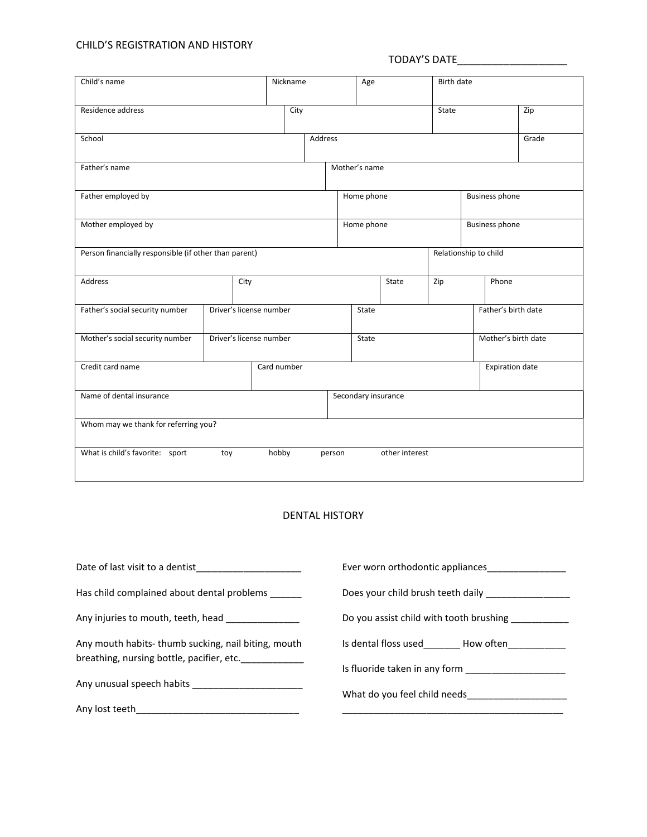## CHILD'S REGISTRATION AND HISTORY

## TODAY'S DATE\_\_\_\_\_\_\_\_\_\_\_\_\_\_\_\_\_\_\_

|                                                       |                         | Nickname |         |                       | Age            |                       | Birth date            |                        |  |
|-------------------------------------------------------|-------------------------|----------|---------|-----------------------|----------------|-----------------------|-----------------------|------------------------|--|
| Residence address                                     | City                    |          |         |                       |                | State                 |                       | Zip                    |  |
| School                                                |                         |          | Address |                       |                |                       |                       | Grade                  |  |
| Father's name                                         |                         |          |         | Mother's name         |                |                       |                       |                        |  |
| Father employed by                                    |                         |          |         | Home phone            |                |                       | <b>Business phone</b> |                        |  |
| Mother employed by                                    |                         |          |         | Home phone            |                | <b>Business phone</b> |                       |                        |  |
| Person financially responsible (if other than parent) |                         |          |         | Relationship to child |                |                       |                       |                        |  |
| <b>Address</b>                                        | City                    |          |         |                       | State<br>Zip   |                       | Phone                 |                        |  |
| Father's social security number                       | Driver's license number |          |         | State                 |                |                       |                       | Father's birth date    |  |
| Mother's social security number                       | Driver's license number |          |         | State                 |                |                       |                       | Mother's birth date    |  |
| Credit card name                                      | Card number             |          |         |                       |                |                       |                       | <b>Expiration date</b> |  |
| Name of dental insurance                              |                         |          |         | Secondary insurance   |                |                       |                       |                        |  |
| Whom may we thank for referring you?                  |                         |          |         |                       |                |                       |                       |                        |  |
| What is child's favorite: sport                       | toy                     | hobby    | person  |                       | other interest |                       |                       |                        |  |

## DENTAL HISTORY

| Date of last visit to a dentist example to the state of last visit to a dentist | Ever worn orthodontic appliances              |  |  |  |
|---------------------------------------------------------------------------------|-----------------------------------------------|--|--|--|
| Has child complained about dental problems ______                               | Does your child brush teeth daily __________  |  |  |  |
| Any injuries to mouth, teeth, head                                              | Do you assist child with tooth brushing       |  |  |  |
| Any mouth habits-thumb sucking, nail biting, mouth                              | Is dental floss used How often                |  |  |  |
| breathing, nursing bottle, pacifier, etc.                                       | Is fluoride taken in any form                 |  |  |  |
|                                                                                 | What do you feel child needs_________________ |  |  |  |
| Any lost teeth_                                                                 |                                               |  |  |  |